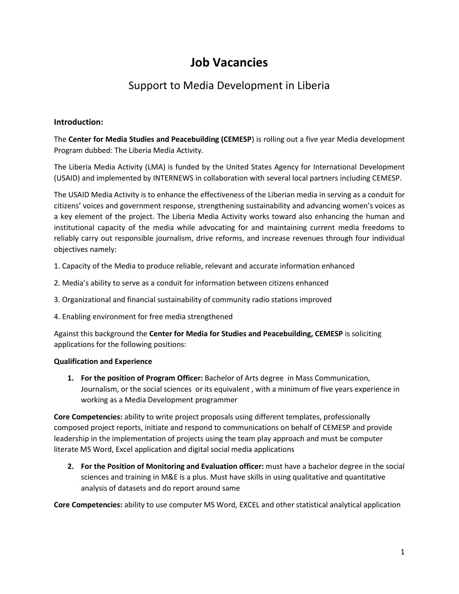## **Job Vacancies**

## Support to Media Development in Liberia

## **Introduction:**

The **Center for Media Studies and Peacebuilding (CEMESP**) is rolling out a five year Media development Program dubbed: The Liberia Media Activity.

The Liberia Media Activity (LMA) is funded by the United States Agency for International Development (USAID) and implemented by INTERNEWS in collaboration with several local partners including CEMESP.

The USAID Media Activity is to enhance the effectiveness of the Liberian media in serving as a conduit for citizens' voices and government response, strengthening sustainability and advancing women's voices as a key element of the project. The Liberia Media Activity works toward also enhancing the human and institutional capacity of the media while advocating for and maintaining current media freedoms to reliably carry out responsible journalism, drive reforms, and increase revenues through four individual objectives namely:

- 1. Capacity of the Media to produce reliable, relevant and accurate information enhanced
- 2. Media's ability to serve as a conduit for information between citizens enhanced
- 3. Organizational and financial sustainability of community radio stations improved
- 4. Enabling environment for free media strengthened

Against this background the **Center for Media for Studies and Peacebuilding, CEMESP** is soliciting applications for the following positions:

## **Qualification and Experience**

**1. For the position of Program Officer:** Bachelor of Arts degree in Mass Communication, Journalism, or the social sciences or its equivalent , with a minimum of five years experience in working as a Media Development programmer

**Core Competencies:** ability to write project proposals using different templates, professionally composed project reports, initiate and respond to communications on behalf of CEMESP and provide leadership in the implementation of projects using the team play approach and must be computer literate MS Word, Excel application and digital social media applications

**2. For the Position of Monitoring and Evaluation officer:** must have a bachelor degree in the social sciences and training in M&E is a plus. Must have skills in using qualitative and quantitative analysis of datasets and do report around same

**Core Competencies:** ability to use computer MS Word, EXCEL and other statistical analytical application